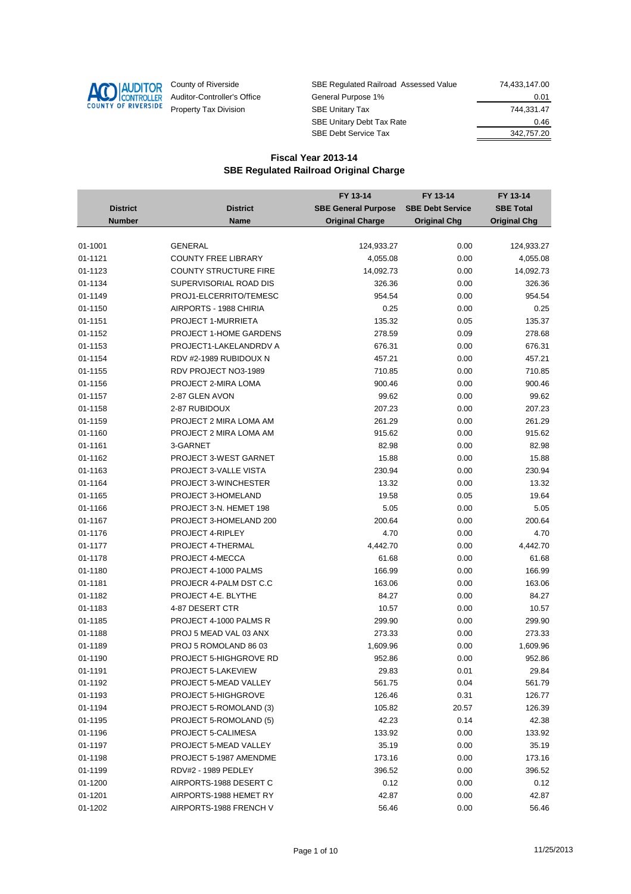

| County of Riverside         | SBE Regulated Railroad Assessed Value | 74.433.147.00 |
|-----------------------------|---------------------------------------|---------------|
| Auditor-Controller's Office | General Purpose 1%                    | 0.01          |
| Property Tax Division       | <b>SBE Unitary Tax</b>                | 744.331.47    |
|                             | <b>SBE Unitary Debt Tax Rate</b>      | 0.46          |
|                             | <b>SBE Debt Service Tax</b>           | 342,757.20    |

|                 |                              | FY 13-14                   | FY 13-14                | FY 13-14            |
|-----------------|------------------------------|----------------------------|-------------------------|---------------------|
| <b>District</b> | <b>District</b>              | <b>SBE General Purpose</b> | <b>SBE Debt Service</b> | <b>SBE Total</b>    |
| <b>Number</b>   | Name                         | <b>Original Charge</b>     | <b>Original Chg</b>     | <b>Original Chg</b> |
|                 |                              |                            |                         |                     |
| 01-1001         | <b>GENERAL</b>               | 124,933.27                 | 0.00                    | 124,933.27          |
| 01-1121         | <b>COUNTY FREE LIBRARY</b>   | 4,055.08                   | 0.00                    | 4,055.08            |
| 01-1123         | <b>COUNTY STRUCTURE FIRE</b> | 14,092.73                  | 0.00                    | 14,092.73           |
| 01-1134         | SUPERVISORIAL ROAD DIS       | 326.36                     | 0.00                    | 326.36              |
| 01-1149         | PROJ1-ELCERRITO/TEMESC       | 954.54                     | 0.00                    | 954.54              |
| 01-1150         | AIRPORTS - 1988 CHIRIA       | 0.25                       | 0.00                    | 0.25                |
| 01-1151         | <b>PROJECT 1-MURRIETA</b>    | 135.32                     | 0.05                    | 135.37              |
| 01-1152         | PROJECT 1-HOME GARDENS       | 278.59                     | 0.09                    | 278.68              |
| 01-1153         | PROJECT1-LAKELANDRDV A       | 676.31                     | 0.00                    | 676.31              |
| 01-1154         | RDV #2-1989 RUBIDOUX N       | 457.21                     | 0.00                    | 457.21              |
| 01-1155         | RDV PROJECT NO3-1989         | 710.85                     | 0.00                    | 710.85              |
| 01-1156         | PROJECT 2-MIRA LOMA          | 900.46                     | 0.00                    | 900.46              |
| 01-1157         | 2-87 GLEN AVON               | 99.62                      | 0.00                    | 99.62               |
| 01-1158         | 2-87 RUBIDOUX                | 207.23                     | 0.00                    | 207.23              |
| 01-1159         | PROJECT 2 MIRA LOMA AM       | 261.29                     | 0.00                    | 261.29              |
| 01-1160         | PROJECT 2 MIRA LOMA AM       | 915.62                     | 0.00                    | 915.62              |
| 01-1161         | 3-GARNET                     | 82.98                      | 0.00                    | 82.98               |
| 01-1162         | PROJECT 3-WEST GARNET        | 15.88                      | 0.00                    | 15.88               |
| 01-1163         | PROJECT 3-VALLE VISTA        | 230.94                     | 0.00                    | 230.94              |
| 01-1164         | PROJECT 3-WINCHESTER         | 13.32                      | 0.00                    | 13.32               |
| 01-1165         | PROJECT 3-HOMELAND           | 19.58                      | 0.05                    | 19.64               |
| 01-1166         | PROJECT 3-N. HEMET 198       | 5.05                       | 0.00                    | 5.05                |
| 01-1167         | PROJECT 3-HOMELAND 200       | 200.64                     | 0.00                    | 200.64              |
| 01-1176         | PROJECT 4-RIPLEY             | 4.70                       | 0.00                    | 4.70                |
| 01-1177         | PROJECT 4-THERMAL            | 4,442.70                   | 0.00                    | 4,442.70            |
| 01-1178         | PROJECT 4-MECCA              | 61.68                      | 0.00                    | 61.68               |
| 01-1180         | PROJECT 4-1000 PALMS         | 166.99                     | 0.00                    | 166.99              |
| 01-1181         | PROJECR 4-PALM DST C.C       | 163.06                     | 0.00                    | 163.06              |
| 01-1182         | PROJECT 4-E. BLYTHE          | 84.27                      | 0.00                    | 84.27               |
| 01-1183         | 4-87 DESERT CTR              | 10.57                      | 0.00                    | 10.57               |
| 01-1185         | PROJECT 4-1000 PALMS R       | 299.90                     | 0.00                    | 299.90              |
| 01-1188         | PROJ 5 MEAD VAL 03 ANX       | 273.33                     | 0.00                    | 273.33              |
| 01-1189         | PROJ 5 ROMOLAND 86 03        | 1,609.96                   | 0.00                    | 1,609.96            |
| 01-1190         | PROJECT 5-HIGHGROVE RD       | 952.86                     | 0.00                    | 952.86              |
| 01-1191         | <b>PROJECT 5-LAKEVIEW</b>    | 29.83                      | 0.01                    | 29.84               |
| 01-1192         | PROJECT 5-MEAD VALLEY        | 561.75                     | 0.04                    | 561.79              |
| 01-1193         | <b>PROJECT 5-HIGHGROVE</b>   | 126.46                     | 0.31                    | 126.77              |
| 01-1194         | PROJECT 5-ROMOLAND (3)       | 105.82                     | 20.57                   | 126.39              |
| 01-1195         | PROJECT 5-ROMOLAND (5)       | 42.23                      | 0.14                    | 42.38               |
| 01-1196         | PROJECT 5-CALIMESA           | 133.92                     | 0.00                    | 133.92              |
| 01-1197         | PROJECT 5-MEAD VALLEY        | 35.19                      | 0.00                    | 35.19               |
| 01-1198         | PROJECT 5-1987 AMENDME       | 173.16                     | 0.00                    | 173.16              |
| 01-1199         | RDV#2 - 1989 PEDLEY          | 396.52                     | 0.00                    | 396.52              |
| 01-1200         | AIRPORTS-1988 DESERT C       | 0.12                       | 0.00                    | 0.12                |
| 01-1201         | AIRPORTS-1988 HEMET RY       | 42.87                      | 0.00                    | 42.87               |
| 01-1202         | AIRPORTS-1988 FRENCH V       | 56.46                      | 0.00                    | 56.46               |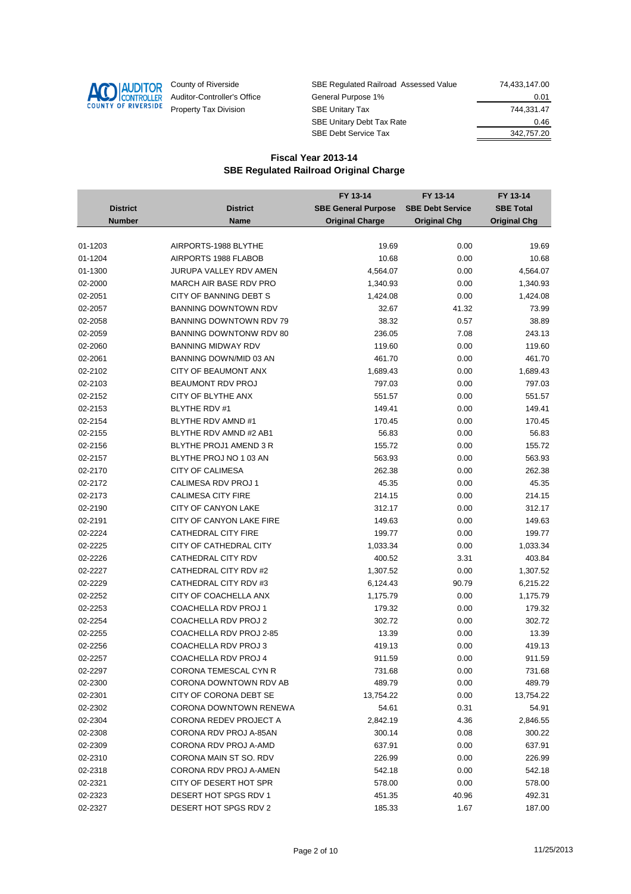

| County of Riverside         | SBE Regulated Railroad Assessed Value | 74.433.147.00 |
|-----------------------------|---------------------------------------|---------------|
| Auditor-Controller's Office | General Purpose 1%                    | 0.01          |
| Property Tax Division       | <b>SBE Unitary Tax</b>                | 744.331.47    |
|                             | <b>SBE Unitary Debt Tax Rate</b>      | 0.46          |
|                             | <b>SBE Debt Service Tax</b>           | 342,757.20    |

|                 |                               | FY 13-14                   | FY 13-14                | FY 13-14            |
|-----------------|-------------------------------|----------------------------|-------------------------|---------------------|
| <b>District</b> | <b>District</b>               | <b>SBE General Purpose</b> | <b>SBE Debt Service</b> | <b>SBE Total</b>    |
| <b>Number</b>   | Name                          | <b>Original Charge</b>     | <b>Original Chg</b>     | <b>Original Chg</b> |
|                 |                               |                            |                         |                     |
| 01-1203         | AIRPORTS-1988 BLYTHE          | 19.69                      | 0.00                    | 19.69               |
| 01-1204         | AIRPORTS 1988 FLABOB          | 10.68                      | 0.00                    | 10.68               |
| 01-1300         | JURUPA VALLEY RDV AMEN        | 4,564.07                   | 0.00                    | 4,564.07            |
| 02-2000         | MARCH AIR BASE RDV PRO        | 1,340.93                   | 0.00                    | 1,340.93            |
| 02-2051         | CITY OF BANNING DEBT S        | 1,424.08                   | 0.00                    | 1,424.08            |
| 02-2057         | <b>BANNING DOWNTOWN RDV</b>   | 32.67                      | 41.32                   | 73.99               |
| 02-2058         | BANNING DOWNTOWN RDV 79       | 38.32                      | 0.57                    | 38.89               |
| 02-2059         | BANNING DOWNTONW RDV 80       | 236.05                     | 7.08                    | 243.13              |
| 02-2060         | <b>BANNING MIDWAY RDV</b>     | 119.60                     | 0.00                    | 119.60              |
| 02-2061         | BANNING DOWN/MID 03 AN        | 461.70                     | 0.00                    | 461.70              |
| 02-2102         | CITY OF BEAUMONT ANX          | 1,689.43                   | 0.00                    | 1,689.43            |
| 02-2103         | BEAUMONT RDV PROJ             | 797.03                     | 0.00                    | 797.03              |
| 02-2152         | CITY OF BLYTHE ANX            | 551.57                     | 0.00                    | 551.57              |
| 02-2153         | <b>BLYTHE RDV #1</b>          | 149.41                     | 0.00                    | 149.41              |
| 02-2154         | BLYTHE RDV AMND #1            | 170.45                     | 0.00                    | 170.45              |
| 02-2155         | BLYTHE RDV AMND #2 AB1        | 56.83                      | 0.00                    | 56.83               |
| 02-2156         | BLYTHE PROJ1 AMEND 3 R        | 155.72                     | 0.00                    | 155.72              |
| 02-2157         | BLYTHE PROJ NO 1 03 AN        | 563.93                     | 0.00                    | 563.93              |
| 02-2170         | <b>CITY OF CALIMESA</b>       | 262.38                     | 0.00                    | 262.38              |
| 02-2172         | CALIMESA RDV PROJ 1           | 45.35                      | 0.00                    | 45.35               |
| 02-2173         | <b>CALIMESA CITY FIRE</b>     | 214.15                     | 0.00                    | 214.15              |
| 02-2190         | CITY OF CANYON LAKE           | 312.17                     | 0.00                    | 312.17              |
| 02-2191         | CITY OF CANYON LAKE FIRE      | 149.63                     | 0.00                    | 149.63              |
| 02-2224         | <b>CATHEDRAL CITY FIRE</b>    | 199.77                     | 0.00                    | 199.77              |
| 02-2225         | CITY OF CATHEDRAL CITY        | 1,033.34                   | 0.00                    | 1,033.34            |
| 02-2226         | CATHEDRAL CITY RDV            | 400.52                     | 3.31                    | 403.84              |
| 02-2227         | CATHEDRAL CITY RDV #2         | 1,307.52                   | 0.00                    | 1,307.52            |
| 02-2229         | CATHEDRAL CITY RDV #3         | 6,124.43                   | 90.79                   | 6,215.22            |
| 02-2252         | CITY OF COACHELLA ANX         | 1,175.79                   | 0.00                    | 1,175.79            |
| 02-2253         | COACHELLA RDV PROJ 1          | 179.32                     | 0.00                    | 179.32              |
| 02-2254         | COACHELLA RDV PROJ 2          | 302.72                     | 0.00                    | 302.72              |
| 02-2255         | COACHELLA RDV PROJ 2-85       | 13.39                      | 0.00                    | 13.39               |
| 02-2256         | COACHELLA RDV PROJ 3          | 419.13                     | 0.00                    | 419.13              |
| 02-2257         | COACHELLA RDV PROJ 4          | 911.59                     | 0.00                    | 911.59              |
| 02-2297         | <b>CORONA TEMESCAL CYN R</b>  | 731.68                     | 0.00                    | 731.68              |
| 02-2300         | CORONA DOWNTOWN RDV AB        | 489.79                     | 0.00                    | 489.79              |
| 02-2301         | CITY OF CORONA DEBT SE        | 13,754.22                  | 0.00                    | 13,754.22           |
| 02-2302         | <b>CORONA DOWNTOWN RENEWA</b> | 54.61                      | 0.31                    | 54.91               |
| 02-2304         | CORONA REDEV PROJECT A        | 2,842.19                   | 4.36                    | 2,846.55            |
| 02-2308         | CORONA RDV PROJ A-85AN        | 300.14                     | 0.08                    | 300.22              |
| 02-2309         | CORONA RDV PROJ A-AMD         | 637.91                     | 0.00                    | 637.91              |
| 02-2310         | CORONA MAIN ST SO. RDV        | 226.99                     | 0.00                    | 226.99              |
| 02-2318         | CORONA RDV PROJ A-AMEN        | 542.18                     | 0.00                    | 542.18              |
| 02-2321         | CITY OF DESERT HOT SPR        | 578.00                     | 0.00                    | 578.00              |
| 02-2323         | DESERT HOT SPGS RDV 1         | 451.35                     | 40.96                   | 492.31              |
| 02-2327         | DESERT HOT SPGS RDV 2         | 185.33                     | 1.67                    | 187.00              |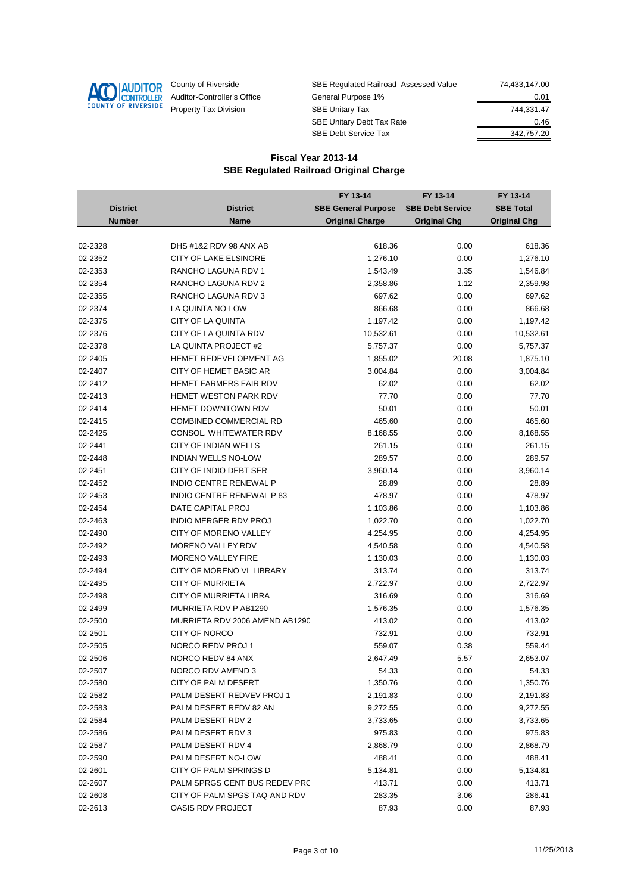

| County of Riverside         | SBE Regulated Railroad Assessed Value | 74.433.147.00 |
|-----------------------------|---------------------------------------|---------------|
| Auditor-Controller's Office | General Purpose 1%                    | 0.01          |
| Property Tax Division       | <b>SBE Unitary Tax</b>                | 744.331.47    |
|                             | <b>SBE Unitary Debt Tax Rate</b>      | 0.46          |
|                             | <b>SBE Debt Service Tax</b>           | 342,757.20    |

|                 |                                 | FY 13-14                   | FY 13-14                | FY 13-14            |
|-----------------|---------------------------------|----------------------------|-------------------------|---------------------|
| <b>District</b> | <b>District</b>                 | <b>SBE General Purpose</b> | <b>SBE Debt Service</b> | <b>SBE Total</b>    |
| <b>Number</b>   | <b>Name</b>                     | <b>Original Charge</b>     | <b>Original Chg</b>     | <b>Original Chg</b> |
|                 |                                 |                            |                         |                     |
| 02-2328         | DHS #1&2 RDV 98 ANX AB          | 618.36                     | 0.00                    | 618.36              |
| 02-2352         | <b>CITY OF LAKE ELSINORE</b>    | 1,276.10                   | 0.00                    | 1,276.10            |
| 02-2353         | RANCHO LAGUNA RDV 1             | 1,543.49                   | 3.35                    | 1,546.84            |
| 02-2354         | RANCHO LAGUNA RDV 2             | 2,358.86                   | 1.12                    | 2,359.98            |
| 02-2355         | RANCHO LAGUNA RDV 3             | 697.62                     | 0.00                    | 697.62              |
| 02-2374         | LA QUINTA NO-LOW                | 866.68                     | 0.00                    | 866.68              |
| 02-2375         | CITY OF LA QUINTA               | 1,197.42                   | 0.00                    | 1,197.42            |
| 02-2376         | CITY OF LA QUINTA RDV           | 10,532.61                  | 0.00                    | 10,532.61           |
| 02-2378         | LA QUINTA PROJECT #2            | 5,757.37                   | 0.00                    | 5,757.37            |
| 02-2405         | HEMET REDEVELOPMENT AG          | 1,855.02                   | 20.08                   | 1,875.10            |
| 02-2407         | CITY OF HEMET BASIC AR          | 3,004.84                   | 0.00                    | 3,004.84            |
| 02-2412         | <b>HEMET FARMERS FAIR RDV</b>   | 62.02                      | 0.00                    | 62.02               |
| 02-2413         | <b>HEMET WESTON PARK RDV</b>    | 77.70                      | 0.00                    | 77.70               |
| 02-2414         | <b>HEMET DOWNTOWN RDV</b>       | 50.01                      | 0.00                    | 50.01               |
| 02-2415         | <b>COMBINED COMMERCIAL RD</b>   | 465.60                     | 0.00                    | 465.60              |
| 02-2425         | CONSOL. WHITEWATER RDV          | 8,168.55                   | 0.00                    | 8,168.55            |
| 02-2441         | CITY OF INDIAN WELLS            | 261.15                     | 0.00                    | 261.15              |
| 02-2448         | <b>INDIAN WELLS NO-LOW</b>      | 289.57                     | 0.00                    | 289.57              |
| 02-2451         | CITY OF INDIO DEBT SER          | 3,960.14                   | 0.00                    | 3,960.14            |
| 02-2452         | <b>INDIO CENTRE RENEWAL P</b>   | 28.89                      | 0.00                    | 28.89               |
| 02-2453         | <b>INDIO CENTRE RENEWAL P83</b> | 478.97                     | 0.00                    | 478.97              |
| 02-2454         | DATE CAPITAL PROJ               | 1,103.86                   | 0.00                    | 1,103.86            |
| 02-2463         | INDIO MERGER RDV PROJ           | 1,022.70                   | 0.00                    | 1,022.70            |
| 02-2490         | CITY OF MORENO VALLEY           | 4,254.95                   | 0.00                    | 4,254.95            |
| 02-2492         | MORENO VALLEY RDV               | 4,540.58                   | 0.00                    | 4,540.58            |
| 02-2493         | <b>MORENO VALLEY FIRE</b>       | 1,130.03                   | 0.00                    | 1,130.03            |
| 02-2494         | CITY OF MORENO VL LIBRARY       | 313.74                     | 0.00                    | 313.74              |
| 02-2495         | <b>CITY OF MURRIETA</b>         | 2,722.97                   | 0.00                    | 2,722.97            |
| 02-2498         | CITY OF MURRIETA LIBRA          | 316.69                     | 0.00                    | 316.69              |
| 02-2499         | MURRIETA RDV P AB1290           | 1,576.35                   | 0.00                    | 1,576.35            |
| 02-2500         | MURRIETA RDV 2006 AMEND AB1290  | 413.02                     | 0.00                    | 413.02              |
| 02-2501         | <b>CITY OF NORCO</b>            | 732.91                     | 0.00                    | 732.91              |
| 02-2505         | NORCO REDV PROJ 1               | 559.07                     | 0.38                    | 559.44              |
| 02-2506         | NORCO REDV 84 ANX               | 2,647.49                   | 5.57                    | 2,653.07            |
| 02-2507         | NORCO RDV AMEND 3               | 54.33                      | 0.00                    | 54.33               |
| 02-2580         | <b>CITY OF PALM DESERT</b>      | 1,350.76                   | 0.00                    | 1,350.76            |
| 02-2582         | PALM DESERT REDVEV PROJ 1       | 2,191.83                   | 0.00                    | 2,191.83            |
| 02-2583         | PALM DESERT REDV 82 AN          | 9,272.55                   | 0.00                    | 9,272.55            |
| 02-2584         | PALM DESERT RDV 2               | 3,733.65                   | 0.00                    | 3,733.65            |
| 02-2586         | PALM DESERT RDV 3               | 975.83                     | 0.00                    | 975.83              |
| 02-2587         | PALM DESERT RDV 4               | 2,868.79                   | 0.00                    | 2,868.79            |
| 02-2590         | PALM DESERT NO-LOW              | 488.41                     | 0.00                    | 488.41              |
| 02-2601         | CITY OF PALM SPRINGS D          | 5,134.81                   | 0.00                    | 5,134.81            |
| 02-2607         | PALM SPRGS CENT BUS REDEV PRC   | 413.71                     | 0.00                    | 413.71              |
| 02-2608         | CITY OF PALM SPGS TAQ-AND RDV   | 283.35                     | 3.06                    | 286.41              |
| 02-2613         | OASIS RDV PROJECT               | 87.93                      | 0.00                    | 87.93               |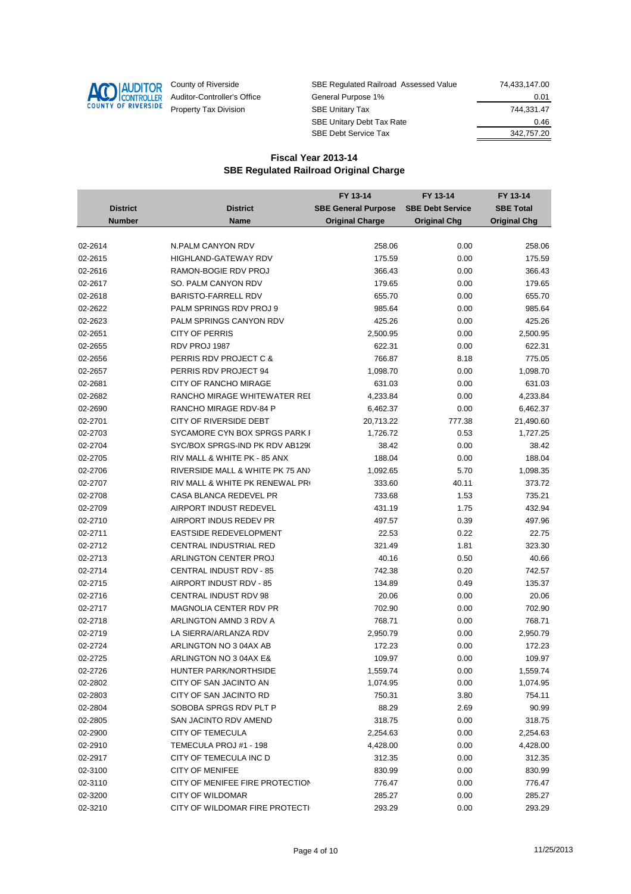

| County of Riverside         | SBE Regulated Railroad Assessed Value | 74.433.147.00 |
|-----------------------------|---------------------------------------|---------------|
| Auditor-Controller's Office | General Purpose 1%                    | 0.01          |
| Property Tax Division       | <b>SBE Unitary Tax</b>                | 744.331.47    |
|                             | <b>SBE Unitary Debt Tax Rate</b>      | 0.46          |
|                             | <b>SBE Debt Service Tax</b>           | 342,757.20    |

|                 |                                  | FY 13-14                   | FY 13-14                | FY 13-14            |
|-----------------|----------------------------------|----------------------------|-------------------------|---------------------|
| <b>District</b> | <b>District</b>                  | <b>SBE General Purpose</b> | <b>SBE Debt Service</b> | <b>SBE Total</b>    |
| <b>Number</b>   | Name                             | <b>Original Charge</b>     | <b>Original Chg</b>     | <b>Original Chg</b> |
|                 |                                  |                            |                         |                     |
| 02-2614         | N.PALM CANYON RDV                | 258.06                     | 0.00                    | 258.06              |
| 02-2615         | <b>HIGHLAND-GATEWAY RDV</b>      | 175.59                     | 0.00                    | 175.59              |
| 02-2616         | RAMON-BOGIE RDV PROJ             | 366.43                     | 0.00                    | 366.43              |
| 02-2617         | SO. PALM CANYON RDV              | 179.65                     | 0.00                    | 179.65              |
| 02-2618         | <b>BARISTO-FARRELL RDV</b>       | 655.70                     | 0.00                    | 655.70              |
| 02-2622         | PALM SPRINGS RDV PROJ 9          | 985.64                     | 0.00                    | 985.64              |
| 02-2623         | PALM SPRINGS CANYON RDV          | 425.26                     | 0.00                    | 425.26              |
| 02-2651         | <b>CITY OF PERRIS</b>            | 2,500.95                   | 0.00                    | 2,500.95            |
| 02-2655         | RDV PROJ 1987                    | 622.31                     | 0.00                    | 622.31              |
| 02-2656         | PERRIS RDV PROJECT C &           | 766.87                     | 8.18                    | 775.05              |
| 02-2657         | PERRIS RDV PROJECT 94            | 1,098.70                   | 0.00                    | 1,098.70            |
| 02-2681         | CITY OF RANCHO MIRAGE            | 631.03                     | 0.00                    | 631.03              |
| 02-2682         | RANCHO MIRAGE WHITEWATER REI     | 4,233.84                   | 0.00                    | 4,233.84            |
| 02-2690         | RANCHO MIRAGE RDV-84 P           | 6,462.37                   | 0.00                    | 6,462.37            |
| 02-2701         | CITY OF RIVERSIDE DEBT           | 20,713.22                  | 777.38                  | 21,490.60           |
| 02-2703         | SYCAMORE CYN BOX SPRGS PARK I    | 1,726.72                   | 0.53                    | 1,727.25            |
| 02-2704         | SYC/BOX SPRGS-IND PK RDV AB1290  | 38.42                      | 0.00                    | 38.42               |
| 02-2705         | RIV MALL & WHITE PK - 85 ANX     | 188.04                     | 0.00                    | 188.04              |
| 02-2706         | RIVERSIDE MALL & WHITE PK 75 AN) | 1,092.65                   | 5.70                    | 1,098.35            |
| 02-2707         | RIV MALL & WHITE PK RENEWAL PRO  | 333.60                     | 40.11                   | 373.72              |
| 02-2708         | CASA BLANCA REDEVEL PR           | 733.68                     | 1.53                    | 735.21              |
| 02-2709         | AIRPORT INDUST REDEVEL           | 431.19                     | 1.75                    | 432.94              |
| 02-2710         | AIRPORT INDUS REDEV PR           | 497.57                     | 0.39                    | 497.96              |
| 02-2711         | EASTSIDE REDEVELOPMENT           | 22.53                      | 0.22                    | 22.75               |
| 02-2712         | CENTRAL INDUSTRIAL RED           | 321.49                     | 1.81                    | 323.30              |
| 02-2713         | ARLINGTON CENTER PROJ            | 40.16                      | 0.50                    | 40.66               |
| 02-2714         | <b>CENTRAL INDUST RDV - 85</b>   | 742.38                     | 0.20                    | 742.57              |
| 02-2715         | AIRPORT INDUST RDV - 85          | 134.89                     | 0.49                    | 135.37              |
| 02-2716         | CENTRAL INDUST RDV 98            | 20.06                      | 0.00                    | 20.06               |
| 02-2717         | <b>MAGNOLIA CENTER RDV PR</b>    | 702.90                     | 0.00                    | 702.90              |
| 02-2718         | ARLINGTON AMND 3 RDV A           | 768.71                     | 0.00                    | 768.71              |
| 02-2719         | LA SIERRA/ARLANZA RDV            | 2,950.79                   | 0.00                    | 2,950.79            |
| 02-2724         | ARLINGTON NO 3 04AX AB           | 172.23                     | 0.00                    | 172.23              |
| 02-2725         | ARLINGTON NO 3 04AX E&           | 109.97                     | 0.00                    | 109.97              |
| 02-2726         | HUNTER PARK/NORTHSIDE            | 1,559.74                   | 0.00                    | 1,559.74            |
| 02-2802         | CITY OF SAN JACINTO AN           | 1,074.95                   | 0.00                    | 1,074.95            |
| 02-2803         | CITY OF SAN JACINTO RD           | 750.31                     | 3.80                    | 754.11              |
| 02-2804         | SOBOBA SPRGS RDV PLT P           | 88.29                      | 2.69                    | 90.99               |
| 02-2805         | SAN JACINTO RDV AMEND            | 318.75                     | 0.00                    | 318.75              |
| 02-2900         | <b>CITY OF TEMECULA</b>          | 2,254.63                   | 0.00                    | 2,254.63            |
| 02-2910         | TEMECULA PROJ #1 - 198           | 4,428.00                   | 0.00                    | 4,428.00            |
| 02-2917         | CITY OF TEMECULA INC D           | 312.35                     | 0.00                    | 312.35              |
| 02-3100         | <b>CITY OF MENIFEE</b>           | 830.99                     | 0.00                    | 830.99              |
| 02-3110         | CITY OF MENIFEE FIRE PROTECTION  | 776.47                     | 0.00                    | 776.47              |
| 02-3200         | <b>CITY OF WILDOMAR</b>          | 285.27                     | 0.00                    | 285.27              |
| 02-3210         | CITY OF WILDOMAR FIRE PROTECTI   | 293.29                     | 0.00                    | 293.29              |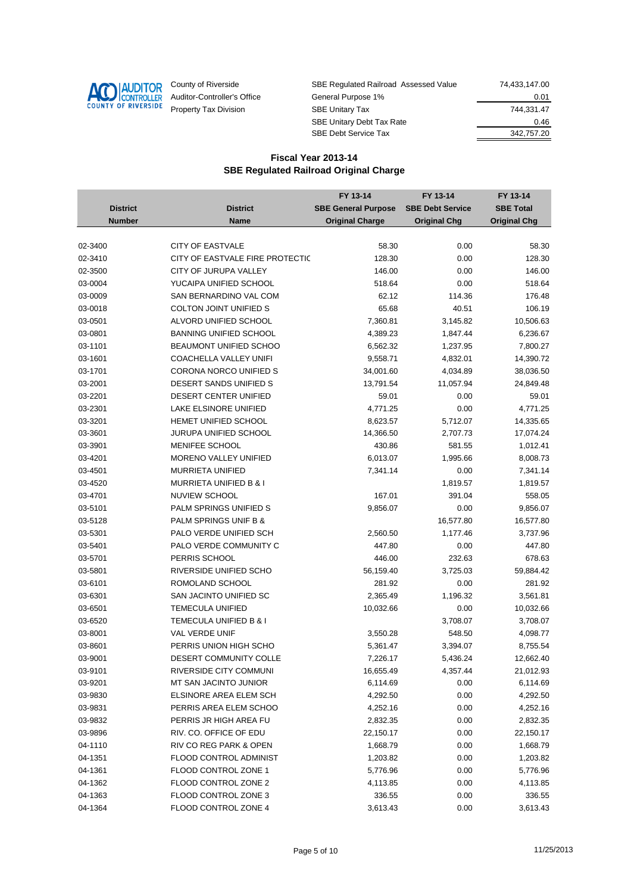

| County of Riverside         | SBE Regulated Railroad Assessed Value | 74.433.147.00 |
|-----------------------------|---------------------------------------|---------------|
| Auditor-Controller's Office | General Purpose 1%                    | 0.01          |
| Property Tax Division       | <b>SBE Unitary Tax</b>                | 744.331.47    |
|                             | <b>SBE Unitary Debt Tax Rate</b>      | 0.46          |
|                             | <b>SBE Debt Service Tax</b>           | 342,757.20    |

|                 |                                 | FY 13-14                   | FY 13-14                | FY 13-14            |
|-----------------|---------------------------------|----------------------------|-------------------------|---------------------|
| <b>District</b> | <b>District</b>                 | <b>SBE General Purpose</b> | <b>SBE Debt Service</b> | <b>SBE Total</b>    |
| <b>Number</b>   | Name                            | <b>Original Charge</b>     | <b>Original Chg</b>     | <b>Original Chg</b> |
|                 |                                 |                            |                         |                     |
| 02-3400         | <b>CITY OF EASTVALE</b>         | 58.30                      | 0.00                    | 58.30               |
| 02-3410         | CITY OF EASTVALE FIRE PROTECTIC | 128.30                     | 0.00                    | 128.30              |
| 02-3500         | CITY OF JURUPA VALLEY           | 146.00                     | 0.00                    | 146.00              |
| 03-0004         | YUCAIPA UNIFIED SCHOOL          | 518.64                     | 0.00                    | 518.64              |
| 03-0009         | SAN BERNARDINO VAL COM          | 62.12                      | 114.36                  | 176.48              |
| 03-0018         | <b>COLTON JOINT UNIFIED S</b>   | 65.68                      | 40.51                   | 106.19              |
| 03-0501         | ALVORD UNIFIED SCHOOL           | 7,360.81                   | 3,145.82                | 10,506.63           |
| 03-0801         | <b>BANNING UNIFIED SCHOOL</b>   | 4,389.23                   | 1,847.44                | 6,236.67            |
| 03-1101         | BEAUMONT UNIFIED SCHOO          | 6,562.32                   | 1,237.95                | 7,800.27            |
| 03-1601         | COACHELLA VALLEY UNIFI          | 9,558.71                   | 4,832.01                | 14,390.72           |
| 03-1701         | CORONA NORCO UNIFIED S          | 34,001.60                  | 4,034.89                | 38,036.50           |
| 03-2001         | DESERT SANDS UNIFIED S          | 13,791.54                  | 11,057.94               | 24,849.48           |
| 03-2201         | <b>DESERT CENTER UNIFIED</b>    | 59.01                      | 0.00                    | 59.01               |
| 03-2301         | <b>LAKE ELSINORE UNIFIED</b>    | 4,771.25                   | 0.00                    | 4,771.25            |
| 03-3201         | HEMET UNIFIED SCHOOL            | 8,623.57                   | 5,712.07                | 14,335.65           |
| 03-3601         | JURUPA UNIFIED SCHOOL           | 14,366.50                  | 2,707.73                | 17,074.24           |
| 03-3901         | MENIFEE SCHOOL                  | 430.86                     | 581.55                  | 1,012.41            |
| 03-4201         | MORENO VALLEY UNIFIED           | 6,013.07                   | 1,995.66                | 8,008.73            |
| 03-4501         | <b>MURRIETA UNIFIED</b>         | 7,341.14                   | 0.00                    | 7,341.14            |
| 03-4520         | MURRIETA UNIFIED B & I          |                            | 1,819.57                | 1,819.57            |
| 03-4701         | <b>NUVIEW SCHOOL</b>            | 167.01                     | 391.04                  | 558.05              |
| 03-5101         | PALM SPRINGS UNIFIED S          | 9,856.07                   | 0.00                    | 9,856.07            |
| 03-5128         | PALM SPRINGS UNIF B &           |                            | 16,577.80               | 16,577.80           |
| 03-5301         | PALO VERDE UNIFIED SCH          | 2,560.50                   | 1,177.46                | 3,737.96            |
| 03-5401         | PALO VERDE COMMUNITY C          | 447.80                     | 0.00                    | 447.80              |
| 03-5701         | PERRIS SCHOOL                   | 446.00                     | 232.63                  | 678.63              |
| 03-5801         | RIVERSIDE UNIFIED SCHO          | 56,159.40                  | 3,725.03                | 59,884.42           |
| 03-6101         | ROMOLAND SCHOOL                 | 281.92                     | 0.00                    | 281.92              |
| 03-6301         | SAN JACINTO UNIFIED SC          | 2,365.49                   | 1,196.32                | 3,561.81            |
| 03-6501         | <b>TEMECULA UNIFIED</b>         | 10,032.66                  | 0.00                    | 10,032.66           |
| 03-6520         | TEMECULA UNIFIED B & I          |                            | 3,708.07                | 3,708.07            |
| 03-8001         | VAL VERDE UNIF                  | 3,550.28                   | 548.50                  | 4,098.77            |
| 03-8601         | PERRIS UNION HIGH SCHO          | 5,361.47                   | 3,394.07                | 8,755.54            |
| 03-9001         | DESERT COMMUNITY COLLE          | 7,226.17                   | 5,436.24                | 12,662.40           |
| 03-9101         | RIVERSIDE CITY COMMUNI          | 16,655.49                  | 4,357.44                | 21,012.93           |
| 03-9201         | MT SAN JACINTO JUNIOR           | 6,114.69                   | 0.00                    | 6,114.69            |
| 03-9830         | ELSINORE AREA ELEM SCH          | 4,292.50                   | 0.00                    | 4,292.50            |
| 03-9831         | PERRIS AREA ELEM SCHOO          | 4,252.16                   | 0.00                    | 4,252.16            |
| 03-9832         | PERRIS JR HIGH AREA FU          | 2,832.35                   | 0.00                    | 2,832.35            |
| 03-9896         | RIV. CO. OFFICE OF EDU          | 22,150.17                  | 0.00                    | 22,150.17           |
| 04-1110         | RIV CO REG PARK & OPEN          | 1,668.79                   | 0.00                    | 1,668.79            |
| 04-1351         | FLOOD CONTROL ADMINIST          | 1,203.82                   | 0.00                    | 1,203.82            |
| 04-1361         | FLOOD CONTROL ZONE 1            | 5,776.96                   | 0.00                    | 5,776.96            |
| 04-1362         | FLOOD CONTROL ZONE 2            | 4,113.85                   | 0.00                    | 4,113.85            |
| 04-1363         | FLOOD CONTROL ZONE 3            | 336.55                     | 0.00                    | 336.55              |
| 04-1364         | FLOOD CONTROL ZONE 4            | 3,613.43                   | 0.00                    | 3,613.43            |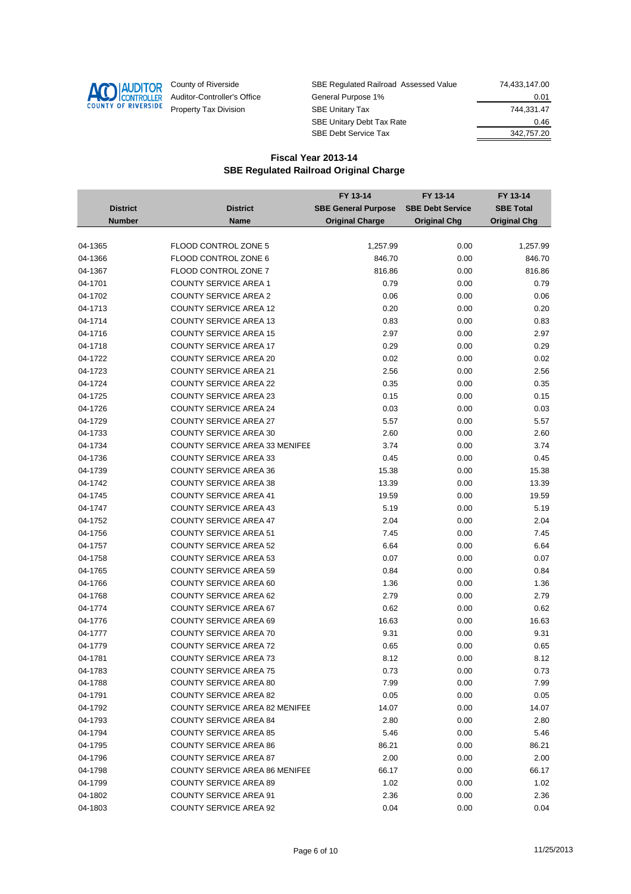

| County of Riverside         | SBE Regulated Railroad Assessed Value | 74.433.147.00 |
|-----------------------------|---------------------------------------|---------------|
| Auditor-Controller's Office | General Purpose 1%                    | 0.01          |
| Property Tax Division       | <b>SBE Unitary Tax</b>                | 744.331.47    |
|                             | <b>SBE Unitary Debt Tax Rate</b>      | 0.46          |
|                             | <b>SBE Debt Service Tax</b>           | 342,757.20    |

|                 |                                       | FY 13-14                   | FY 13-14                | FY 13-14            |
|-----------------|---------------------------------------|----------------------------|-------------------------|---------------------|
| <b>District</b> | <b>District</b>                       | <b>SBE General Purpose</b> | <b>SBE Debt Service</b> | <b>SBE Total</b>    |
| <b>Number</b>   | <b>Name</b>                           | <b>Original Charge</b>     | <b>Original Chg</b>     | <b>Original Chg</b> |
|                 |                                       |                            |                         |                     |
| 04-1365         | FLOOD CONTROL ZONE 5                  | 1,257.99                   | 0.00                    | 1,257.99            |
| 04-1366         | FLOOD CONTROL ZONE 6                  | 846.70                     | 0.00                    | 846.70              |
| 04-1367         | FLOOD CONTROL ZONE 7                  | 816.86                     | 0.00                    | 816.86              |
| 04-1701         | <b>COUNTY SERVICE AREA 1</b>          | 0.79                       | 0.00                    | 0.79                |
| 04-1702         | <b>COUNTY SERVICE AREA 2</b>          | 0.06                       | 0.00                    | 0.06                |
| 04-1713         | <b>COUNTY SERVICE AREA 12</b>         | 0.20                       | 0.00                    | 0.20                |
| 04-1714         | <b>COUNTY SERVICE AREA 13</b>         | 0.83                       | 0.00                    | 0.83                |
| 04-1716         | <b>COUNTY SERVICE AREA 15</b>         | 2.97                       | 0.00                    | 2.97                |
| 04-1718         | <b>COUNTY SERVICE AREA 17</b>         | 0.29                       | 0.00                    | 0.29                |
| 04-1722         | <b>COUNTY SERVICE AREA 20</b>         | 0.02                       | 0.00                    | 0.02                |
| 04-1723         | <b>COUNTY SERVICE AREA 21</b>         | 2.56                       | 0.00                    | 2.56                |
| 04-1724         | <b>COUNTY SERVICE AREA 22</b>         | 0.35                       | 0.00                    | 0.35                |
| 04-1725         | <b>COUNTY SERVICE AREA 23</b>         | 0.15                       | 0.00                    | 0.15                |
| 04-1726         | <b>COUNTY SERVICE AREA 24</b>         | 0.03                       | 0.00                    | 0.03                |
| 04-1729         | <b>COUNTY SERVICE AREA 27</b>         | 5.57                       | 0.00                    | 5.57                |
| 04-1733         | <b>COUNTY SERVICE AREA 30</b>         | 2.60                       | 0.00                    | 2.60                |
| 04-1734         | <b>COUNTY SERVICE AREA 33 MENIFEE</b> | 3.74                       | 0.00                    | 3.74                |
| 04-1736         | <b>COUNTY SERVICE AREA 33</b>         | 0.45                       | 0.00                    | 0.45                |
| 04-1739         | <b>COUNTY SERVICE AREA 36</b>         | 15.38                      | 0.00                    | 15.38               |
| 04-1742         | <b>COUNTY SERVICE AREA 38</b>         | 13.39                      | 0.00                    | 13.39               |
| 04-1745         | <b>COUNTY SERVICE AREA 41</b>         | 19.59                      | 0.00                    | 19.59               |
| 04-1747         | <b>COUNTY SERVICE AREA 43</b>         | 5.19                       | 0.00                    | 5.19                |
| 04-1752         | <b>COUNTY SERVICE AREA 47</b>         | 2.04                       | 0.00                    | 2.04                |
| 04-1756         | <b>COUNTY SERVICE AREA 51</b>         | 7.45                       | 0.00                    | 7.45                |
| 04-1757         | <b>COUNTY SERVICE AREA 52</b>         | 6.64                       | 0.00                    | 6.64                |
| 04-1758         | <b>COUNTY SERVICE AREA 53</b>         | 0.07                       | 0.00                    | 0.07                |
| 04-1765         | <b>COUNTY SERVICE AREA 59</b>         | 0.84                       | 0.00                    | 0.84                |
| 04-1766         | <b>COUNTY SERVICE AREA 60</b>         | 1.36                       | 0.00                    | 1.36                |
| 04-1768         | <b>COUNTY SERVICE AREA 62</b>         | 2.79                       | 0.00                    | 2.79                |
| 04-1774         | <b>COUNTY SERVICE AREA 67</b>         | 0.62                       | 0.00                    | 0.62                |
| 04-1776         | <b>COUNTY SERVICE AREA 69</b>         | 16.63                      | 0.00                    | 16.63               |
| 04-1777         | <b>COUNTY SERVICE AREA 70</b>         | 9.31                       | 0.00                    | 9.31                |
| 04-1779         | <b>COUNTY SERVICE AREA 72</b>         | 0.65                       | 0.00                    | 0.65                |
| 04-1781         | <b>COUNTY SERVICE AREA 73</b>         | 8.12                       | 0.00                    | 8.12                |
| 04-1783         | <b>COUNTY SERVICE AREA 75</b>         | 0.73                       | 0.00                    | 0.73                |
| 04-1788         | <b>COUNTY SERVICE AREA 80</b>         | 7.99                       | 0.00                    | 7.99                |
| 04-1791         | <b>COUNTY SERVICE AREA 82</b>         | 0.05                       | 0.00                    | 0.05                |
| 04-1792         | <b>COUNTY SERVICE AREA 82 MENIFEE</b> | 14.07                      | 0.00                    | 14.07               |
| 04-1793         | <b>COUNTY SERVICE AREA 84</b>         | 2.80                       | 0.00                    | 2.80                |
| 04-1794         | <b>COUNTY SERVICE AREA 85</b>         | 5.46                       | 0.00                    | 5.46                |
| 04-1795         | <b>COUNTY SERVICE AREA 86</b>         | 86.21                      | 0.00                    | 86.21               |
| 04-1796         | <b>COUNTY SERVICE AREA 87</b>         | 2.00                       | 0.00                    | 2.00                |
| 04-1798         | <b>COUNTY SERVICE AREA 86 MENIFEE</b> | 66.17                      | 0.00                    | 66.17               |
| 04-1799         | <b>COUNTY SERVICE AREA 89</b>         | 1.02                       | 0.00                    | 1.02                |
| 04-1802         | <b>COUNTY SERVICE AREA 91</b>         | 2.36                       | 0.00                    | 2.36                |
| 04-1803         | <b>COUNTY SERVICE AREA 92</b>         | 0.04                       | 0.00                    | 0.04                |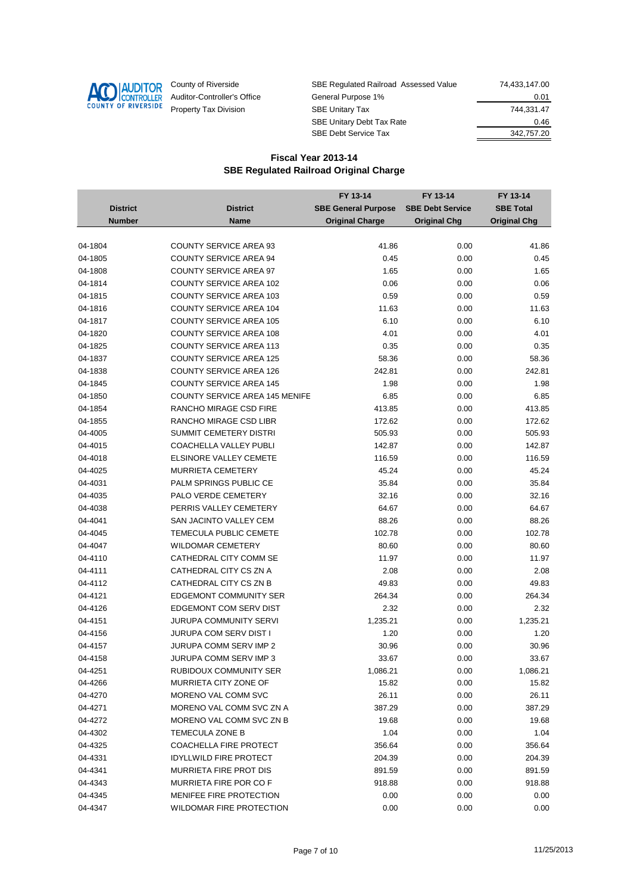

| County of Riverside         | SBE Regulated Railroad Assessed Value | 74.433.147.00 |
|-----------------------------|---------------------------------------|---------------|
| Auditor-Controller's Office | General Purpose 1%                    | 0.01          |
| Property Tax Division       | <b>SBE Unitary Tax</b>                | 744.331.47    |
|                             | <b>SBE Unitary Debt Tax Rate</b>      | 0.46          |
|                             | <b>SBE Debt Service Tax</b>           | 342,757.20    |

|                 |                                       | FY 13-14                   | FY 13-14                | FY 13-14            |
|-----------------|---------------------------------------|----------------------------|-------------------------|---------------------|
| <b>District</b> | <b>District</b>                       | <b>SBE General Purpose</b> | <b>SBE Debt Service</b> | <b>SBE Total</b>    |
| <b>Number</b>   | Name                                  | <b>Original Charge</b>     | <b>Original Chg</b>     | <b>Original Chg</b> |
|                 |                                       |                            |                         |                     |
| 04-1804         | <b>COUNTY SERVICE AREA 93</b>         | 41.86                      | 0.00                    | 41.86               |
| 04-1805         | <b>COUNTY SERVICE AREA 94</b>         | 0.45                       | 0.00                    | 0.45                |
| 04-1808         | <b>COUNTY SERVICE AREA 97</b>         | 1.65                       | 0.00                    | 1.65                |
| 04-1814         | <b>COUNTY SERVICE AREA 102</b>        | 0.06                       | 0.00                    | 0.06                |
| 04-1815         | <b>COUNTY SERVICE AREA 103</b>        | 0.59                       | 0.00                    | 0.59                |
| 04-1816         | <b>COUNTY SERVICE AREA 104</b>        | 11.63                      | 0.00                    | 11.63               |
| 04-1817         | <b>COUNTY SERVICE AREA 105</b>        | 6.10                       | 0.00                    | 6.10                |
| 04-1820         | <b>COUNTY SERVICE AREA 108</b>        | 4.01                       | 0.00                    | 4.01                |
| 04-1825         | <b>COUNTY SERVICE AREA 113</b>        | 0.35                       | 0.00                    | 0.35                |
| 04-1837         | <b>COUNTY SERVICE AREA 125</b>        | 58.36                      | 0.00                    | 58.36               |
| 04-1838         | <b>COUNTY SERVICE AREA 126</b>        | 242.81                     | 0.00                    | 242.81              |
| 04-1845         | <b>COUNTY SERVICE AREA 145</b>        | 1.98                       | 0.00                    | 1.98                |
| 04-1850         | <b>COUNTY SERVICE AREA 145 MENIFE</b> | 6.85                       | 0.00                    | 6.85                |
| 04-1854         | RANCHO MIRAGE CSD FIRE                | 413.85                     | 0.00                    | 413.85              |
| 04-1855         | RANCHO MIRAGE CSD LIBR                | 172.62                     | 0.00                    | 172.62              |
| 04-4005         | SUMMIT CEMETERY DISTRI                | 505.93                     | 0.00                    | 505.93              |
| 04-4015         | <b>COACHELLA VALLEY PUBLI</b>         | 142.87                     | 0.00                    | 142.87              |
| 04-4018         | ELSINORE VALLEY CEMETE                | 116.59                     | 0.00                    | 116.59              |
| 04-4025         | <b>MURRIETA CEMETERY</b>              | 45.24                      | 0.00                    | 45.24               |
| 04-4031         | PALM SPRINGS PUBLIC CE                | 35.84                      | 0.00                    | 35.84               |
| 04-4035         | PALO VERDE CEMETERY                   | 32.16                      | 0.00                    | 32.16               |
| 04-4038         | PERRIS VALLEY CEMETERY                | 64.67                      | 0.00                    | 64.67               |
| 04-4041         | SAN JACINTO VALLEY CEM                | 88.26                      | 0.00                    | 88.26               |
| 04-4045         | TEMECULA PUBLIC CEMETE                | 102.78                     | 0.00                    | 102.78              |
| 04-4047         | <b>WILDOMAR CEMETERY</b>              | 80.60                      | 0.00                    | 80.60               |
| 04-4110         | CATHEDRAL CITY COMM SE                | 11.97                      | 0.00                    | 11.97               |
| 04-4111         | CATHEDRAL CITY CS ZN A                | 2.08                       | 0.00                    | 2.08                |
| 04-4112         | CATHEDRAL CITY CS ZN B                | 49.83                      | 0.00                    | 49.83               |
| 04-4121         | <b>EDGEMONT COMMUNITY SER</b>         | 264.34                     | 0.00                    | 264.34              |
| 04-4126         | EDGEMONT COM SERV DIST                | 2.32                       | 0.00                    | 2.32                |
| 04-4151         | JURUPA COMMUNITY SERVI                | 1,235.21                   | 0.00                    | 1,235.21            |
| 04-4156         | <b>JURUPA COM SERV DIST I</b>         | 1.20                       | 0.00                    | 1.20                |
| 04-4157         | JURUPA COMM SERV IMP 2                | 30.96                      | 0.00                    | 30.96               |
| 04-4158         | <b>JURUPA COMM SERV IMP 3</b>         | 33.67                      | 0.00                    | 33.67               |
| 04-4251         | RUBIDOUX COMMUNITY SER                | 1,086.21                   | 0.00                    | 1,086.21            |
| 04-4266         | MURRIETA CITY ZONE OF                 | 15.82                      | 0.00                    | 15.82               |
| 04-4270         | MORENO VAL COMM SVC                   | 26.11                      | 0.00                    | 26.11               |
| 04-4271         | MORENO VAL COMM SVC ZN A              | 387.29                     | 0.00                    | 387.29              |
| 04-4272         | MORENO VAL COMM SVC ZN B              | 19.68                      | 0.00                    | 19.68               |
| 04-4302         | <b>TEMECULA ZONE B</b>                | 1.04                       | 0.00                    | 1.04                |
| 04-4325         | COACHELLA FIRE PROTECT                | 356.64                     | 0.00                    | 356.64              |
| 04-4331         | <b>IDYLLWILD FIRE PROTECT</b>         | 204.39                     | 0.00                    | 204.39              |
| 04-4341         | MURRIETA FIRE PROT DIS                | 891.59                     | 0.00                    | 891.59              |
| 04-4343         | MURRIETA FIRE POR CO F                | 918.88                     | 0.00                    | 918.88              |
| 04-4345         | <b>MENIFEE FIRE PROTECTION</b>        | 0.00                       | 0.00                    | 0.00                |
| 04-4347         | WILDOMAR FIRE PROTECTION              | 0.00                       | 0.00                    | 0.00                |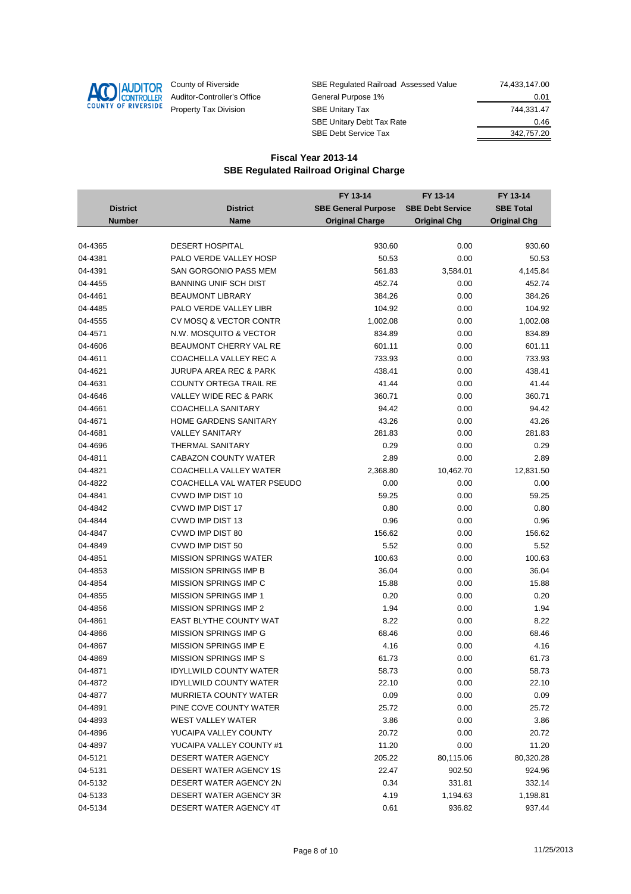

| County of Riverside         | SBE Regulated Railroad Assessed Value | 74.433.147.00 |
|-----------------------------|---------------------------------------|---------------|
| Auditor-Controller's Office | General Purpose 1%                    | 0.01          |
| Property Tax Division       | <b>SBE Unitary Tax</b>                | 744.331.47    |
|                             | <b>SBE Unitary Debt Tax Rate</b>      | 0.46          |
|                             | <b>SBE Debt Service Tax</b>           | 342,757.20    |

|                 |                               | FY 13-14                   | FY 13-14                | FY 13-14            |
|-----------------|-------------------------------|----------------------------|-------------------------|---------------------|
| <b>District</b> | <b>District</b>               | <b>SBE General Purpose</b> | <b>SBE Debt Service</b> | <b>SBE Total</b>    |
| <b>Number</b>   | Name                          | <b>Original Charge</b>     | <b>Original Chg</b>     | <b>Original Chg</b> |
|                 |                               |                            |                         |                     |
| 04-4365         | <b>DESERT HOSPITAL</b>        | 930.60                     | 0.00                    | 930.60              |
| 04-4381         | PALO VERDE VALLEY HOSP        | 50.53                      | 0.00                    | 50.53               |
| 04-4391         | SAN GORGONIO PASS MEM         | 561.83                     | 3,584.01                | 4,145.84            |
| 04-4455         | <b>BANNING UNIF SCH DIST</b>  | 452.74                     | 0.00                    | 452.74              |
| 04-4461         | <b>BEAUMONT LIBRARY</b>       | 384.26                     | 0.00                    | 384.26              |
| 04-4485         | PALO VERDE VALLEY LIBR        | 104.92                     | 0.00                    | 104.92              |
| 04-4555         | CV MOSQ & VECTOR CONTR        | 1,002.08                   | 0.00                    | 1,002.08            |
| 04-4571         | N.W. MOSQUITO & VECTOR        | 834.89                     | 0.00                    | 834.89              |
| 04-4606         | BEAUMONT CHERRY VAL RE        | 601.11                     | 0.00                    | 601.11              |
| 04-4611         | COACHELLA VALLEY REC A        | 733.93                     | 0.00                    | 733.93              |
| 04-4621         | JURUPA AREA REC & PARK        | 438.41                     | 0.00                    | 438.41              |
| 04-4631         | <b>COUNTY ORTEGA TRAIL RE</b> | 41.44                      | 0.00                    | 41.44               |
| 04-4646         | VALLEY WIDE REC & PARK        | 360.71                     | 0.00                    | 360.71              |
| 04-4661         | <b>COACHELLA SANITARY</b>     | 94.42                      | 0.00                    | 94.42               |
| 04-4671         | HOME GARDENS SANITARY         | 43.26                      | 0.00                    | 43.26               |
| 04-4681         | <b>VALLEY SANITARY</b>        | 281.83                     | 0.00                    | 281.83              |
| 04-4696         | <b>THERMAL SANITARY</b>       | 0.29                       | 0.00                    | 0.29                |
| 04-4811         | <b>CABAZON COUNTY WATER</b>   | 2.89                       | 0.00                    | 2.89                |
| 04-4821         | COACHELLA VALLEY WATER        | 2,368.80                   | 10,462.70               | 12,831.50           |
| 04-4822         | COACHELLA VAL WATER PSEUDO    | 0.00                       | 0.00                    | 0.00                |
| 04-4841         | CVWD IMP DIST 10              | 59.25                      | 0.00                    | 59.25               |
| 04-4842         | CVWD IMP DIST 17              | 0.80                       | 0.00                    | 0.80                |
| 04-4844         | CVWD IMP DIST 13              | 0.96                       | 0.00                    | 0.96                |
| 04-4847         | CVWD IMP DIST 80              | 156.62                     | 0.00                    | 156.62              |
| 04-4849         | CVWD IMP DIST 50              | 5.52                       | 0.00                    | 5.52                |
| 04-4851         | <b>MISSION SPRINGS WATER</b>  | 100.63                     | 0.00                    | 100.63              |
| 04-4853         | <b>MISSION SPRINGS IMP B</b>  | 36.04                      | 0.00                    | 36.04               |
| 04-4854         | MISSION SPRINGS IMP C         | 15.88                      | 0.00                    | 15.88               |
| 04-4855         | <b>MISSION SPRINGS IMP 1</b>  | 0.20                       | 0.00                    | 0.20                |
| 04-4856         | <b>MISSION SPRINGS IMP 2</b>  | 1.94                       | 0.00                    | 1.94                |
| 04-4861         | EAST BLYTHE COUNTY WAT        | 8.22                       | 0.00                    | 8.22                |
| 04-4866         | MISSION SPRINGS IMP G         | 68.46                      | 0.00                    | 68.46               |
| 04-4867         | <b>MISSION SPRINGS IMP E</b>  | 4.16                       | 0.00                    | 4.16                |
| 04-4869         | <b>MISSION SPRINGS IMP S</b>  | 61.73                      | 0.00                    | 61.73               |
| 04-4871         | <b>IDYLLWILD COUNTY WATER</b> | 58.73                      | 0.00                    | 58.73               |
| 04-4872         | <b>IDYLLWILD COUNTY WATER</b> | 22.10                      | 0.00                    | 22.10               |
| 04-4877         | <b>MURRIETA COUNTY WATER</b>  | 0.09                       | 0.00                    | 0.09                |
| 04-4891         | PINE COVE COUNTY WATER        | 25.72                      | 0.00                    | 25.72               |
| 04-4893         | WEST VALLEY WATER             | 3.86                       | 0.00                    | 3.86                |
| 04-4896         | YUCAIPA VALLEY COUNTY         | 20.72                      | 0.00                    | 20.72               |
| 04-4897         | YUCAIPA VALLEY COUNTY #1      | 11.20                      | 0.00                    | 11.20               |
| 04-5121         | DESERT WATER AGENCY           | 205.22                     | 80,115.06               | 80,320.28           |
| 04-5131         | <b>DESERT WATER AGENCY 1S</b> | 22.47                      | 902.50                  | 924.96              |
| 04-5132         | DESERT WATER AGENCY 2N        | 0.34                       | 331.81                  | 332.14              |
| 04-5133         | DESERT WATER AGENCY 3R        | 4.19                       | 1,194.63                | 1,198.81            |
| 04-5134         | DESERT WATER AGENCY 4T        | 0.61                       | 936.82                  | 937.44              |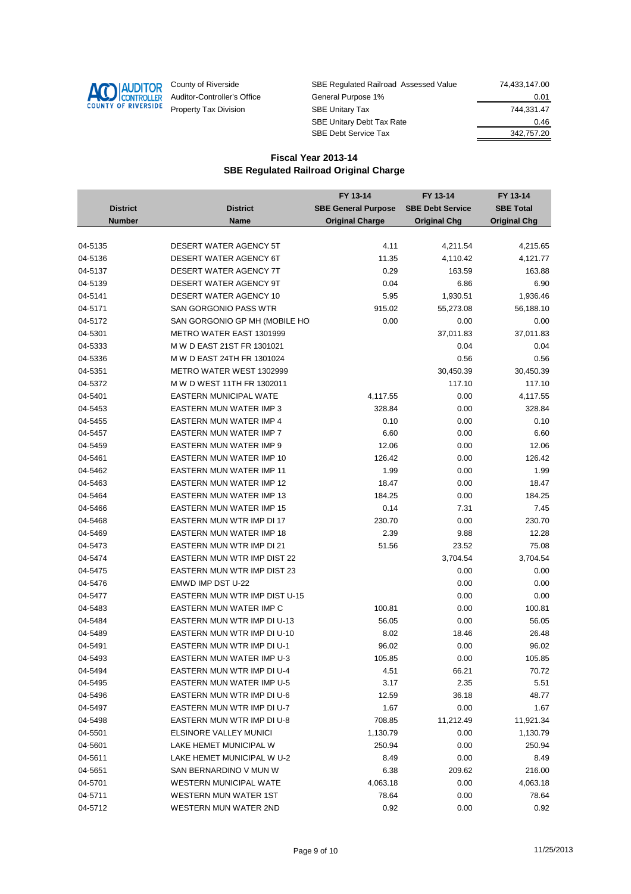

| County of Riverside         | SBE Regulated Railroad Assessed Value | 74,433,147.00 |
|-----------------------------|---------------------------------------|---------------|
| Auditor-Controller's Office | General Purpose 1%                    | 0.01          |
| Property Tax Division       | <b>SBE Unitary Tax</b>                | 744.331.47    |
|                             | <b>SBE Unitary Debt Tax Rate</b>      | 0.46          |
|                             | <b>SBE Debt Service Tax</b>           | 342,757.20    |

|                 |                                  | FY 13-14                   | FY 13-14                | FY 13-14            |
|-----------------|----------------------------------|----------------------------|-------------------------|---------------------|
| <b>District</b> | <b>District</b>                  | <b>SBE General Purpose</b> | <b>SBE Debt Service</b> | <b>SBE Total</b>    |
| <b>Number</b>   | Name                             | <b>Original Charge</b>     | <b>Original Chg</b>     | <b>Original Chg</b> |
|                 |                                  |                            |                         |                     |
| 04-5135         | <b>DESERT WATER AGENCY 5T</b>    | 4.11                       | 4,211.54                | 4,215.65            |
| 04-5136         | <b>DESERT WATER AGENCY 6T</b>    | 11.35                      | 4,110.42                | 4,121.77            |
| 04-5137         | DESERT WATER AGENCY 7T           | 0.29                       | 163.59                  | 163.88              |
| 04-5139         | DESERT WATER AGENCY 9T           | 0.04                       | 6.86                    | 6.90                |
| 04-5141         | DESERT WATER AGENCY 10           | 5.95                       | 1,930.51                | 1,936.46            |
| 04-5171         | <b>SAN GORGONIO PASS WTR</b>     | 915.02                     | 55,273.08               | 56,188.10           |
| 04-5172         | SAN GORGONIO GP MH (MOBILE HO    | 0.00                       | 0.00                    | 0.00                |
| 04-5301         | <b>METRO WATER EAST 1301999</b>  |                            | 37,011.83               | 37,011.83           |
| 04-5333         | M W D EAST 21ST FR 1301021       |                            | 0.04                    | 0.04                |
| 04-5336         | M W D EAST 24TH FR 1301024       |                            | 0.56                    | 0.56                |
| 04-5351         | METRO WATER WEST 1302999         |                            | 30,450.39               | 30,450.39           |
| 04-5372         | M W D WEST 11TH FR 1302011       |                            | 117.10                  | 117.10              |
| 04-5401         | <b>EASTERN MUNICIPAL WATE</b>    | 4,117.55                   | 0.00                    | 4,117.55            |
| 04-5453         | EASTERN MUN WATER IMP 3          | 328.84                     | 0.00                    | 328.84              |
| 04-5455         | EASTERN MUN WATER IMP 4          | 0.10                       | 0.00                    | 0.10                |
| 04-5457         | <b>EASTERN MUN WATER IMP 7</b>   | 6.60                       | 0.00                    | 6.60                |
| 04-5459         | EASTERN MUN WATER IMP 9          | 12.06                      | 0.00                    | 12.06               |
| 04-5461         | EASTERN MUN WATER IMP 10         | 126.42                     | 0.00                    | 126.42              |
| 04-5462         | <b>EASTERN MUN WATER IMP 11</b>  | 1.99                       | 0.00                    | 1.99                |
| 04-5463         | EASTERN MUN WATER IMP 12         | 18.47                      | 0.00                    | 18.47               |
| 04-5464         | EASTERN MUN WATER IMP 13         | 184.25                     | 0.00                    | 184.25              |
| 04-5466         | EASTERN MUN WATER IMP 15         | 0.14                       | 7.31                    | 7.45                |
| 04-5468         | EASTERN MUN WTR IMP DI 17        | 230.70                     | 0.00                    | 230.70              |
| 04-5469         | EASTERN MUN WATER IMP 18         | 2.39                       | 9.88                    | 12.28               |
| 04-5473         | EASTERN MUN WTR IMP DI 21        | 51.56                      | 23.52                   | 75.08               |
| 04-5474         | EASTERN MUN WTR IMP DIST 22      |                            | 3,704.54                | 3,704.54            |
| 04-5475         | EASTERN MUN WTR IMP DIST 23      |                            | 0.00                    | 0.00                |
| 04-5476         | EMWD IMP DST U-22                |                            | 0.00                    | 0.00                |
| 04-5477         | EASTERN MUN WTR IMP DIST U-15    |                            | 0.00                    | 0.00                |
| 04-5483         | EASTERN MUN WATER IMP C          | 100.81                     | 0.00                    | 100.81              |
| 04-5484         | EASTERN MUN WTR IMP DI U-13      | 56.05                      | 0.00                    | 56.05               |
| 04-5489         | EASTERN MUN WTR IMP DI U-10      | 8.02                       | 18.46                   | 26.48               |
| 04-5491         | EASTERN MUN WTR IMP DI U-1       | 96.02                      | 0.00                    | 96.02               |
| 04-5493         | <b>EASTERN MUN WATER IMP U-3</b> | 105.85                     | 0.00                    | 105.85              |
| 04-5494         | EASTERN MUN WTR IMP DI U-4       | 4.51                       | 66.21                   | 70.72               |
| 04-5495         | <b>EASTERN MUN WATER IMP U-5</b> | 3.17                       | 2.35                    | 5.51                |
| 04-5496         | EASTERN MUN WTR IMP DI U-6       | 12.59                      | 36.18                   | 48.77               |
| 04-5497         | EASTERN MUN WTR IMP DI U-7       | 1.67                       | 0.00                    | 1.67                |
| 04-5498         | EASTERN MUN WTR IMP DI U-8       | 708.85                     | 11,212.49               | 11,921.34           |
| 04-5501         | <b>ELSINORE VALLEY MUNICI</b>    | 1,130.79                   | 0.00                    | 1,130.79            |
| 04-5601         | LAKE HEMET MUNICIPAL W           | 250.94                     | 0.00                    | 250.94              |
| 04-5611         | LAKE HEMET MUNICIPAL W U-2       | 8.49                       | 0.00                    | 8.49                |
| 04-5651         | SAN BERNARDINO V MUN W           | 6.38                       | 209.62                  | 216.00              |
| 04-5701         | <b>WESTERN MUNICIPAL WATE</b>    | 4,063.18                   | 0.00                    | 4,063.18            |
| 04-5711         | <b>WESTERN MUN WATER 1ST</b>     | 78.64                      | 0.00                    | 78.64               |
| 04-5712         | WESTERN MUN WATER 2ND            | 0.92                       | 0.00                    | 0.92                |